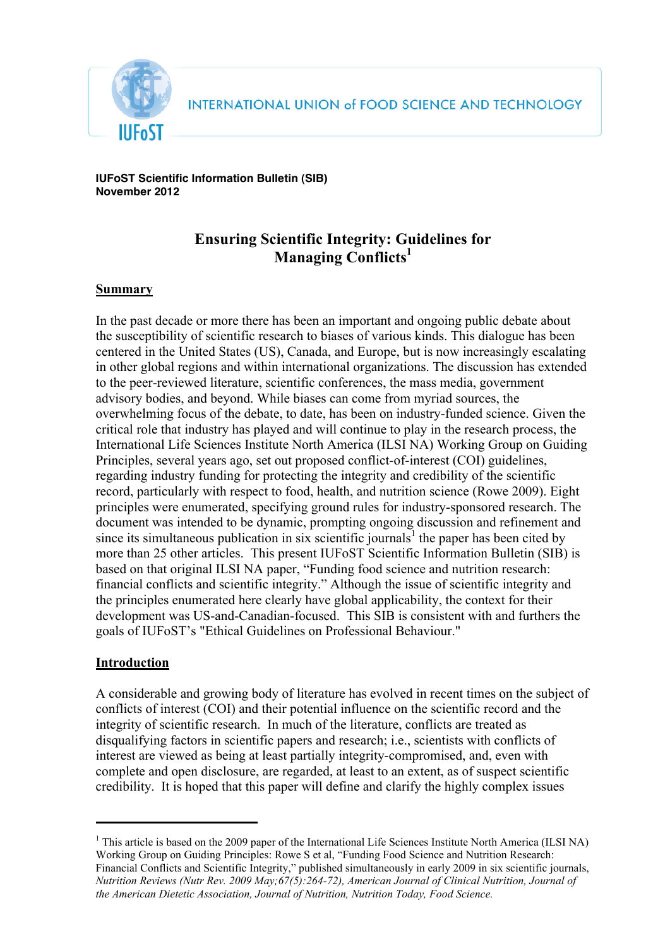

**IUFoST Scientific Information Bulletin (SIB) November 2012**

# **Ensuring Scientific Integrity: Guidelines for Managing Conflicts1**

## **Summary**

In the past decade or more there has been an important and ongoing public debate about the susceptibility of scientific research to biases of various kinds. This dialogue has been centered in the United States (US), Canada, and Europe, but is now increasingly escalating in other global regions and within international organizations. The discussion has extended to the peer-reviewed literature, scientific conferences, the mass media, government advisory bodies, and beyond. While biases can come from myriad sources, the overwhelming focus of the debate, to date, has been on industry-funded science. Given the critical role that industry has played and will continue to play in the research process, the International Life Sciences Institute North America (ILSI NA) Working Group on Guiding Principles, several years ago, set out proposed conflict-of-interest (COI) guidelines, regarding industry funding for protecting the integrity and credibility of the scientific record, particularly with respect to food, health, and nutrition science (Rowe 2009). Eight principles were enumerated, specifying ground rules for industry-sponsored research. The document was intended to be dynamic, prompting ongoing discussion and refinement and since its simultaneous publication in six scientific journals<sup>1</sup> the paper has been cited by more than 25 other articles. This present IUFoST Scientific Information Bulletin (SIB) is based on that original ILSI NA paper, "Funding food science and nutrition research: financial conflicts and scientific integrity." Although the issue of scientific integrity and the principles enumerated here clearly have global applicability, the context for their development was US-and-Canadian-focused. This SIB is consistent with and furthers the goals of IUFoST's "Ethical Guidelines on Professional Behaviour."

### **Introduction**

A considerable and growing body of literature has evolved in recent times on the subject of conflicts of interest (COI) and their potential influence on the scientific record and the integrity of scientific research. In much of the literature, conflicts are treated as disqualifying factors in scientific papers and research; i.e., scientists with conflicts of interest are viewed as being at least partially integrity-compromised, and, even with complete and open disclosure, are regarded, at least to an extent, as of suspect scientific credibility. It is hoped that this paper will define and clarify the highly complex issues

 <sup>1</sup> This article is based on the 2009 paper of the International Life Sciences Institute North America (ILSI NA) Working Group on Guiding Principles: Rowe S et al, "Funding Food Science and Nutrition Research: Financial Conflicts and Scientific Integrity," published simultaneously in early 2009 in six scientific journals, *Nutrition Reviews (Nutr Rev. 2009 May;67(5):264-72), American Journal of Clinical Nutrition, Journal of the American Dietetic Association, Journal of Nutrition, Nutrition Today, Food Science.*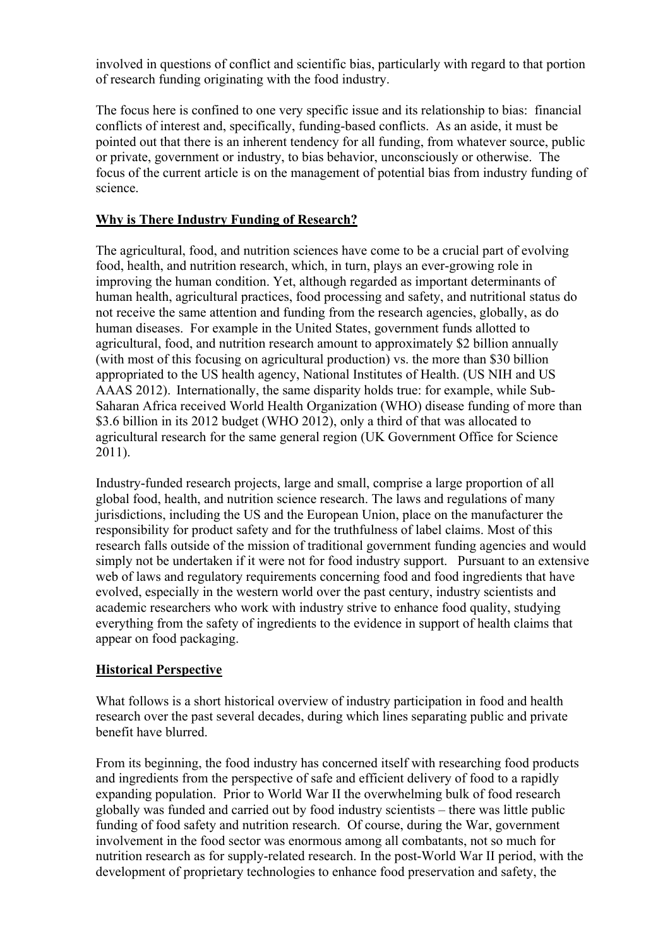involved in questions of conflict and scientific bias, particularly with regard to that portion of research funding originating with the food industry.

The focus here is confined to one very specific issue and its relationship to bias: financial conflicts of interest and, specifically, funding-based conflicts. As an aside, it must be pointed out that there is an inherent tendency for all funding, from whatever source, public or private, government or industry, to bias behavior, unconsciously or otherwise. The focus of the current article is on the management of potential bias from industry funding of science.

### **Why is There Industry Funding of Research?**

The agricultural, food, and nutrition sciences have come to be a crucial part of evolving food, health, and nutrition research, which, in turn, plays an ever-growing role in improving the human condition. Yet, although regarded as important determinants of human health, agricultural practices, food processing and safety, and nutritional status do not receive the same attention and funding from the research agencies, globally, as do human diseases. For example in the United States, government funds allotted to agricultural, food, and nutrition research amount to approximately \$2 billion annually (with most of this focusing on agricultural production) vs. the more than \$30 billion appropriated to the US health agency, National Institutes of Health. (US NIH and US AAAS 2012). Internationally, the same disparity holds true: for example, while Sub-Saharan Africa received World Health Organization (WHO) disease funding of more than \$3.6 billion in its 2012 budget (WHO 2012), only a third of that was allocated to agricultural research for the same general region (UK Government Office for Science 2011).

Industry-funded research projects, large and small, comprise a large proportion of all global food, health, and nutrition science research. The laws and regulations of many jurisdictions, including the US and the European Union, place on the manufacturer the responsibility for product safety and for the truthfulness of label claims. Most of this research falls outside of the mission of traditional government funding agencies and would simply not be undertaken if it were not for food industry support. Pursuant to an extensive web of laws and regulatory requirements concerning food and food ingredients that have evolved, especially in the western world over the past century, industry scientists and academic researchers who work with industry strive to enhance food quality, studying everything from the safety of ingredients to the evidence in support of health claims that appear on food packaging.

## **Historical Perspective**

What follows is a short historical overview of industry participation in food and health research over the past several decades, during which lines separating public and private benefit have blurred.

From its beginning, the food industry has concerned itself with researching food products and ingredients from the perspective of safe and efficient delivery of food to a rapidly expanding population. Prior to World War II the overwhelming bulk of food research globally was funded and carried out by food industry scientists – there was little public funding of food safety and nutrition research. Of course, during the War, government involvement in the food sector was enormous among all combatants, not so much for nutrition research as for supply-related research. In the post-World War II period, with the development of proprietary technologies to enhance food preservation and safety, the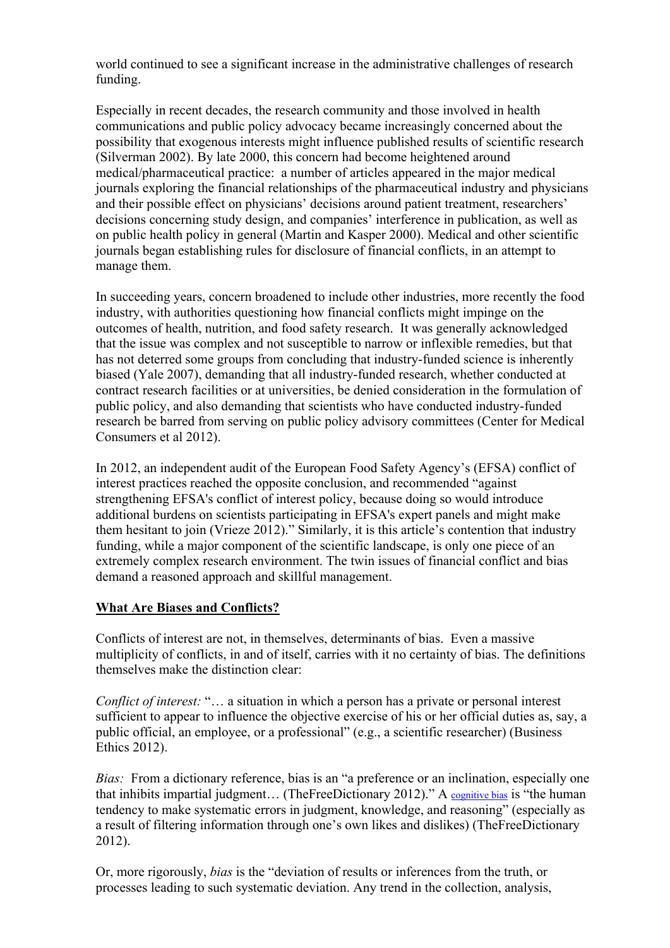world continued to see a significant increase in the administrative challenges of research funding.

Especially in recent decades, the research community and those involved in health communications and public policy advocacy became increasingly concerned about the possibility that exogenous interests might influence published results of scientific research (Silverman 2002). By late 2000, this concern had become heightened around medical/pharmaceutical practice: a number of articles appeared in the major medical journals exploring the financial relationships of the pharmaceutical industry and physicians and their possible effect on physicians' decisions around patient treatment, researchers' decisions concerning study design, and companies' interference in publication, as well as on public health policy in general (Martin and Kasper 2000). Medical and other scientific journals began establishing rules for disclosure of financial conflicts, in an attempt to manage them.

In succeeding years, concern broadened to include other industries, more recently the food industry, with authorities questioning how financial conflicts might impinge on the outcomes of health, nutrition, and food safety research. It was generally acknowledged that the issue was complex and not susceptible to narrow or inflexible remedies, but that has not deterred some groups from concluding that industry-funded science is inherently biased (Yale 2007), demanding that all industry-funded research, whether conducted at contract research facilities or at universities, be denied consideration in the formulation of public policy, and also demanding that scientists who have conducted industry-funded research be barred from serving on public policy advisory committees (Center for Medical Consumers et al 2012).

In 2012, an independent audit of the European Food Safety Agency's (EFSA) conflict of interest practices reached the opposite conclusion, and recommended "against strengthening EFSA's conflict of interest policy, because doing so would introduce additional burdens on scientists participating in EFSA's expert panels and might make them hesitant to join (Vrieze 2012)." Similarly, it is this article's contention that industry funding, while a major component of the scientific landscape, is only one piece of an extremely complex research environment. The twin issues of financial conflict and bias demand a reasoned approach and skillful management.

## **What Are Biases and Conflicts?**

Conflicts of interest are not, in themselves, determinants of bias. Even a massive multiplicity of conflicts, in and of itself, carries with it no certainty of bias. The definitions themselves make the distinction clear:

*Conflict of interest:* "… a situation in which a person has a private or personal interest sufficient to appear to influence the objective exercise of his or her official duties as, say, a public official, an employee, or a professional" (e.g., a scientific researcher) (Business Ethics 2012).

*Bias:* From a dictionary reference, bias is an "a preference or an inclination, especially one that inhibits impartial judgment… (TheFreeDictionary 2012)." A cognitive bias is "the human tendency to make systematic errors in judgment, knowledge, and reasoning" (especially as a result of filtering information through one's own likes and dislikes) (TheFreeDictionary 2012).

Or, more rigorously, *bias* is the "deviation of results or inferences from the truth, or processes leading to such systematic deviation. Any trend in the collection, analysis,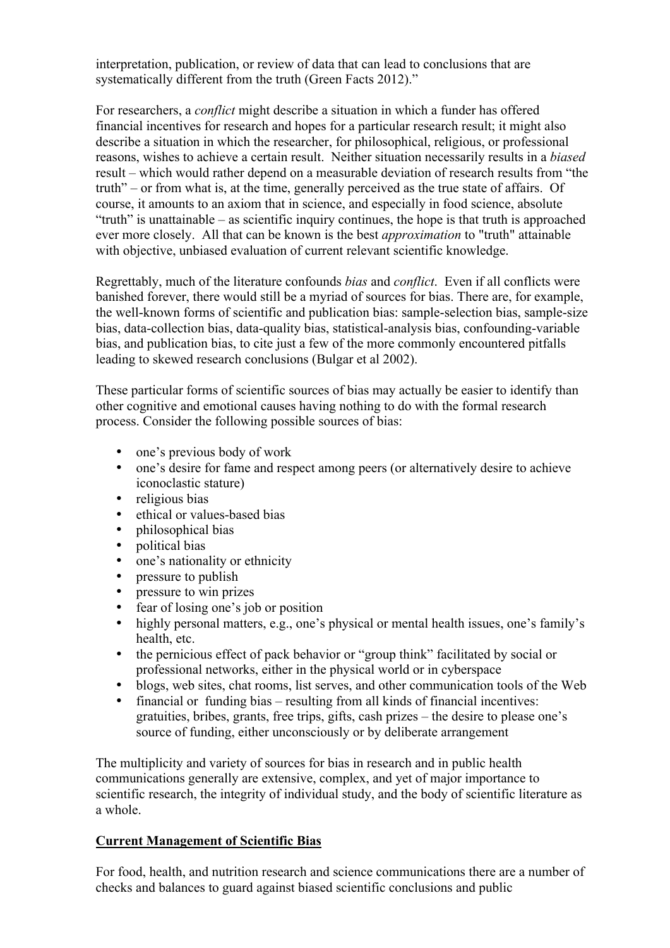interpretation, publication, or review of data that can lead to conclusions that are systematically different from the truth (Green Facts 2012)."

For researchers, a *conflict* might describe a situation in which a funder has offered financial incentives for research and hopes for a particular research result; it might also describe a situation in which the researcher, for philosophical, religious, or professional reasons, wishes to achieve a certain result. Neither situation necessarily results in a *biased* result – which would rather depend on a measurable deviation of research results from "the truth" – or from what is, at the time, generally perceived as the true state of affairs. Of course, it amounts to an axiom that in science, and especially in food science, absolute "truth" is unattainable – as scientific inquiry continues, the hope is that truth is approached ever more closely. All that can be known is the best *approximation* to "truth" attainable with objective, unbiased evaluation of current relevant scientific knowledge.

Regrettably, much of the literature confounds *bias* and *conflict*. Even if all conflicts were banished forever, there would still be a myriad of sources for bias. There are, for example, the well-known forms of scientific and publication bias: sample-selection bias, sample-size bias, data-collection bias, data-quality bias, statistical-analysis bias, confounding-variable bias, and publication bias, to cite just a few of the more commonly encountered pitfalls leading to skewed research conclusions (Bulgar et al 2002).

These particular forms of scientific sources of bias may actually be easier to identify than other cognitive and emotional causes having nothing to do with the formal research process. Consider the following possible sources of bias:

- one's previous body of work
- one's desire for fame and respect among peers (or alternatively desire to achieve iconoclastic stature)
- religious bias
- ethical or values-based bias
- philosophical bias<br>• nolitical bias
- political bias
- one's nationality or ethnicity
- pressure to publish<br>• pressure to win priz
- pressure to win prizes
- fear of losing one's job or position
- highly personal matters, e.g., one's physical or mental health issues, one's family's health, etc.
- the pernicious effect of pack behavior or "group think" facilitated by social or professional networks, either in the physical world or in cyberspace
- blogs, web sites, chat rooms, list serves, and other communication tools of the Web
- financial or funding bias resulting from all kinds of financial incentives: gratuities, bribes, grants, free trips, gifts, cash prizes – the desire to please one's source of funding, either unconsciously or by deliberate arrangement

The multiplicity and variety of sources for bias in research and in public health communications generally are extensive, complex, and yet of major importance to scientific research, the integrity of individual study, and the body of scientific literature as a whole.

## **Current Management of Scientific Bias**

For food, health, and nutrition research and science communications there are a number of checks and balances to guard against biased scientific conclusions and public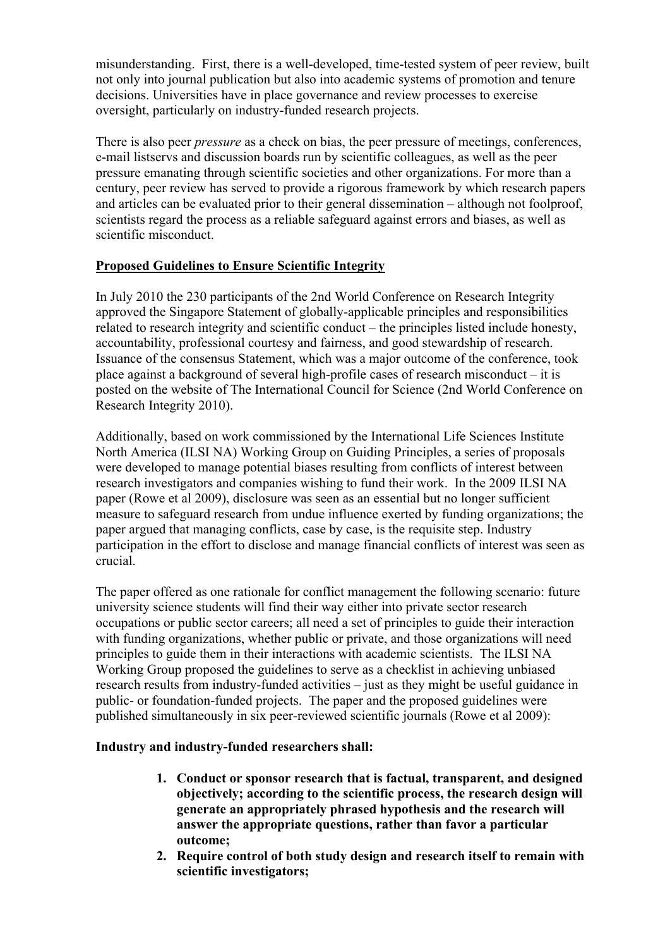misunderstanding. First, there is a well-developed, time-tested system of peer review, built not only into journal publication but also into academic systems of promotion and tenure decisions. Universities have in place governance and review processes to exercise oversight, particularly on industry-funded research projects.

There is also peer *pressure* as a check on bias, the peer pressure of meetings, conferences, e-mail listservs and discussion boards run by scientific colleagues, as well as the peer pressure emanating through scientific societies and other organizations. For more than a century, peer review has served to provide a rigorous framework by which research papers and articles can be evaluated prior to their general dissemination – although not foolproof, scientists regard the process as a reliable safeguard against errors and biases, as well as scientific misconduct.

# **Proposed Guidelines to Ensure Scientific Integrity**

In July 2010 the 230 participants of the 2nd World Conference on Research Integrity approved the Singapore Statement of globally-applicable principles and responsibilities related to research integrity and scientific conduct – the principles listed include honesty, accountability, professional courtesy and fairness, and good stewardship of research. Issuance of the consensus Statement, which was a major outcome of the conference, took place against a background of several high-profile cases of research misconduct – it is posted on the website of The International Council for Science (2nd World Conference on Research Integrity 2010).

Additionally, based on work commissioned by the International Life Sciences Institute North America (ILSI NA) Working Group on Guiding Principles, a series of proposals were developed to manage potential biases resulting from conflicts of interest between research investigators and companies wishing to fund their work. In the 2009 ILSI NA paper (Rowe et al 2009), disclosure was seen as an essential but no longer sufficient measure to safeguard research from undue influence exerted by funding organizations; the paper argued that managing conflicts, case by case, is the requisite step. Industry participation in the effort to disclose and manage financial conflicts of interest was seen as crucial.

The paper offered as one rationale for conflict management the following scenario: future university science students will find their way either into private sector research occupations or public sector careers; all need a set of principles to guide their interaction with funding organizations, whether public or private, and those organizations will need principles to guide them in their interactions with academic scientists. The ILSI NA Working Group proposed the guidelines to serve as a checklist in achieving unbiased research results from industry-funded activities – just as they might be useful guidance in public- or foundation-funded projects. The paper and the proposed guidelines were published simultaneously in six peer-reviewed scientific journals (Rowe et al 2009):

## **Industry and industry-funded researchers shall:**

- **1. Conduct or sponsor research that is factual, transparent, and designed objectively; according to the scientific process, the research design will generate an appropriately phrased hypothesis and the research will answer the appropriate questions, rather than favor a particular outcome;**
- **2. Require control of both study design and research itself to remain with scientific investigators;**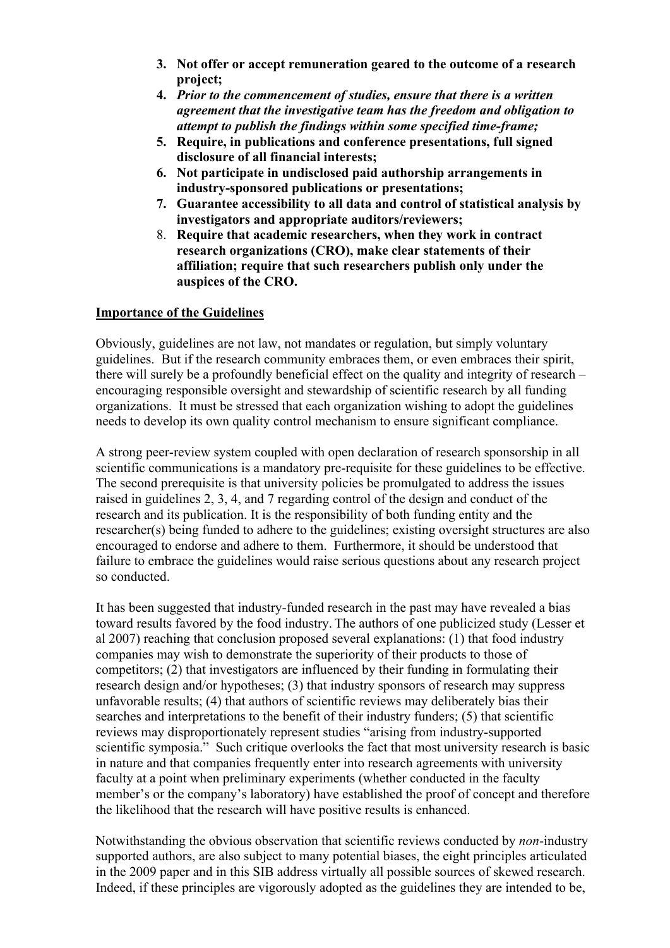- **3. Not offer or accept remuneration geared to the outcome of a research project;**
- **4.** *Prior to the commencement of studies, ensure that there is a written agreement that the investigative team has the freedom and obligation to attempt to publish the findings within some specified time-frame;*
- **5. Require, in publications and conference presentations, full signed disclosure of all financial interests;**
- **6. Not participate in undisclosed paid authorship arrangements in industry-sponsored publications or presentations;**
- **7. Guarantee accessibility to all data and control of statistical analysis by investigators and appropriate auditors/reviewers;**
- 8. **Require that academic researchers, when they work in contract research organizations (CRO), make clear statements of their affiliation; require that such researchers publish only under the auspices of the CRO.**

### **Importance of the Guidelines**

Obviously, guidelines are not law, not mandates or regulation, but simply voluntary guidelines. But if the research community embraces them, or even embraces their spirit, there will surely be a profoundly beneficial effect on the quality and integrity of research – encouraging responsible oversight and stewardship of scientific research by all funding organizations. It must be stressed that each organization wishing to adopt the guidelines needs to develop its own quality control mechanism to ensure significant compliance.

A strong peer-review system coupled with open declaration of research sponsorship in all scientific communications is a mandatory pre-requisite for these guidelines to be effective. The second prerequisite is that university policies be promulgated to address the issues raised in guidelines 2, 3, 4, and 7 regarding control of the design and conduct of the research and its publication. It is the responsibility of both funding entity and the researcher(s) being funded to adhere to the guidelines; existing oversight structures are also encouraged to endorse and adhere to them. Furthermore, it should be understood that failure to embrace the guidelines would raise serious questions about any research project so conducted.

It has been suggested that industry-funded research in the past may have revealed a bias toward results favored by the food industry. The authors of one publicized study (Lesser et al 2007) reaching that conclusion proposed several explanations: (1) that food industry companies may wish to demonstrate the superiority of their products to those of competitors; (2) that investigators are influenced by their funding in formulating their research design and/or hypotheses; (3) that industry sponsors of research may suppress unfavorable results; (4) that authors of scientific reviews may deliberately bias their searches and interpretations to the benefit of their industry funders; (5) that scientific reviews may disproportionately represent studies "arising from industry-supported scientific symposia." Such critique overlooks the fact that most university research is basic in nature and that companies frequently enter into research agreements with university faculty at a point when preliminary experiments (whether conducted in the faculty member's or the company's laboratory) have established the proof of concept and therefore the likelihood that the research will have positive results is enhanced.

Notwithstanding the obvious observation that scientific reviews conducted by *non*-industry supported authors, are also subject to many potential biases, the eight principles articulated in the 2009 paper and in this SIB address virtually all possible sources of skewed research. Indeed, if these principles are vigorously adopted as the guidelines they are intended to be,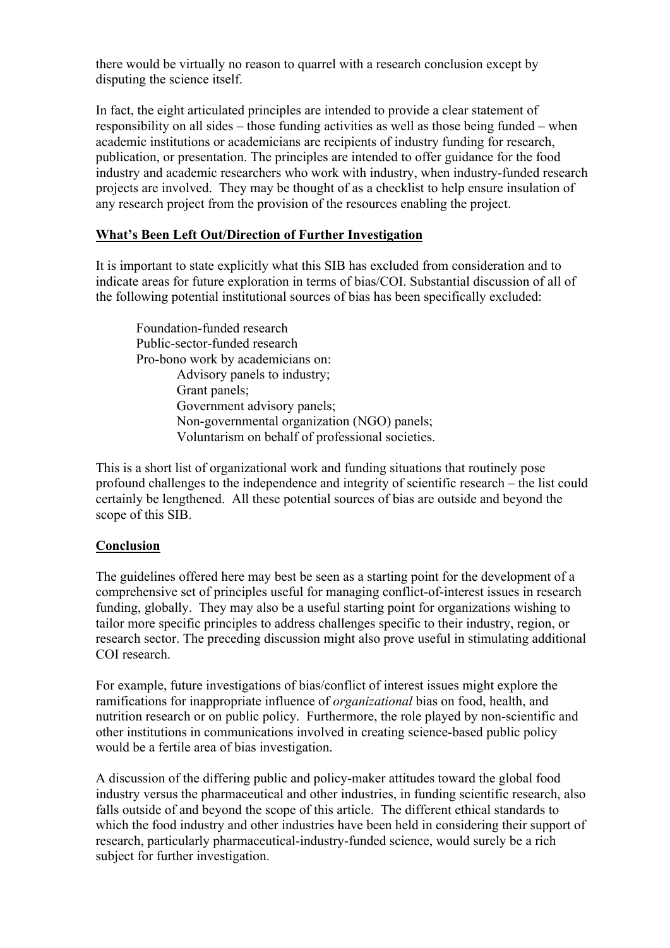there would be virtually no reason to quarrel with a research conclusion except by disputing the science itself.

In fact, the eight articulated principles are intended to provide a clear statement of responsibility on all sides – those funding activities as well as those being funded – when academic institutions or academicians are recipients of industry funding for research, publication, or presentation. The principles are intended to offer guidance for the food industry and academic researchers who work with industry, when industry-funded research projects are involved. They may be thought of as a checklist to help ensure insulation of any research project from the provision of the resources enabling the project.

### **What's Been Left Out/Direction of Further Investigation**

It is important to state explicitly what this SIB has excluded from consideration and to indicate areas for future exploration in terms of bias/COI. Substantial discussion of all of the following potential institutional sources of bias has been specifically excluded:

Foundation-funded research Public-sector-funded research Pro-bono work by academicians on: Advisory panels to industry; Grant panels; Government advisory panels; Non-governmental organization (NGO) panels; Voluntarism on behalf of professional societies.

This is a short list of organizational work and funding situations that routinely pose profound challenges to the independence and integrity of scientific research – the list could certainly be lengthened. All these potential sources of bias are outside and beyond the scope of this SIB.

## **Conclusion**

The guidelines offered here may best be seen as a starting point for the development of a comprehensive set of principles useful for managing conflict-of-interest issues in research funding, globally. They may also be a useful starting point for organizations wishing to tailor more specific principles to address challenges specific to their industry, region, or research sector. The preceding discussion might also prove useful in stimulating additional COI research.

For example, future investigations of bias/conflict of interest issues might explore the ramifications for inappropriate influence of *organizational* bias on food, health, and nutrition research or on public policy. Furthermore, the role played by non-scientific and other institutions in communications involved in creating science-based public policy would be a fertile area of bias investigation.

A discussion of the differing public and policy-maker attitudes toward the global food industry versus the pharmaceutical and other industries, in funding scientific research, also falls outside of and beyond the scope of this article. The different ethical standards to which the food industry and other industries have been held in considering their support of research, particularly pharmaceutical-industry-funded science, would surely be a rich subject for further investigation.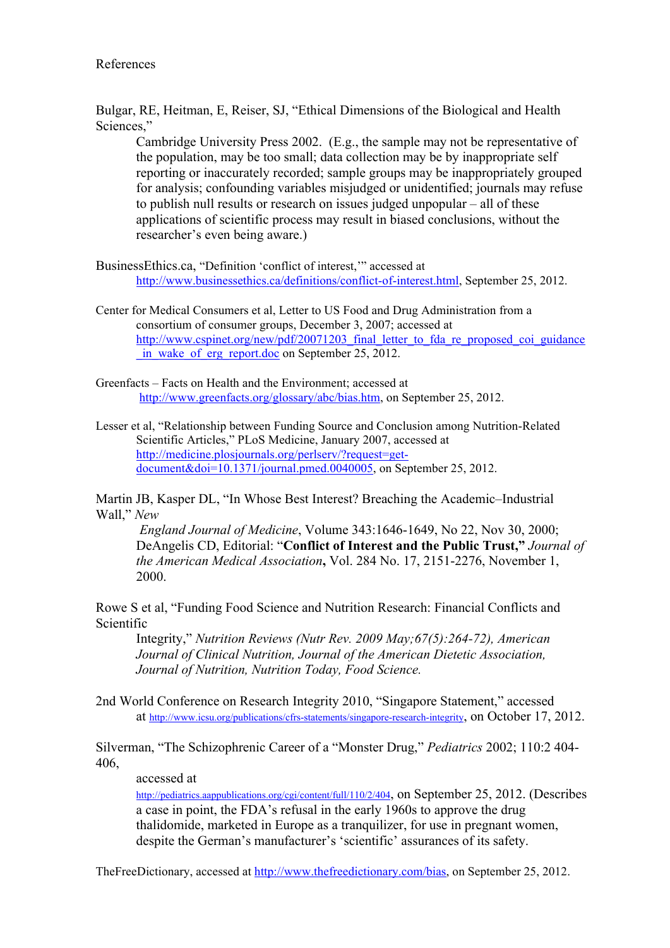Bulgar, RE, Heitman, E, Reiser, SJ, "Ethical Dimensions of the Biological and Health Sciences,'

Cambridge University Press 2002. (E.g., the sample may not be representative of the population, may be too small; data collection may be by inappropriate self reporting or inaccurately recorded; sample groups may be inappropriately grouped for analysis; confounding variables misjudged or unidentified; journals may refuse to publish null results or research on issues judged unpopular – all of these applications of scientific process may result in biased conclusions, without the researcher's even being aware.)

BusinessEthics.ca, "Definition 'conflict of interest,'" accessed at http://www.businessethics.ca/definitions/conflict-of-interest.html, September 25, 2012.

Center for Medical Consumers et al, Letter to US Food and Drug Administration from a consortium of consumer groups, December 3, 2007; accessed at http://www<u>.cspinet.org/new/pdf/20071203\_final\_letter\_to\_fda\_re\_proposed\_coi\_guidance</u> \_in\_wake\_of\_erg\_report.doc on September 25, 2012.

Greenfacts – Facts on Health and the Environment; accessed at http://www.greenfacts.org/glossary/abc/bias.htm, on September 25, 2012.

Lesser et al, "Relationship between Funding Source and Conclusion among Nutrition-Related Scientific Articles," PLoS Medicine, January 2007, accessed at http://medicine.plosjournals.org/perlserv/?request=getdocument&doi=10.1371/journal.pmed.0040005, on September 25, 2012.

Martin JB, Kasper DL, "In Whose Best Interest? Breaching the Academic–Industrial Wall," *New*

*England Journal of Medicine*, Volume 343:1646-1649, No 22, Nov 30, 2000; DeAngelis CD, Editorial: "**Conflict of Interest and the Public Trust,"** *Journal of the American Medical Association***,** Vol. 284 No. 17, 2151-2276, November 1, 2000.

Rowe S et al, "Funding Food Science and Nutrition Research: Financial Conflicts and Scientific

Integrity," *Nutrition Reviews (Nutr Rev. 2009 May;67(5):264-72), American Journal of Clinical Nutrition, Journal of the American Dietetic Association, Journal of Nutrition, Nutrition Today, Food Science.*

2nd World Conference on Research Integrity 2010, "Singapore Statement," accessed at http://www.icsu.org/publications/cfrs-statements/singapore-research-integrity, on October 17, 2012.

Silverman, "The Schizophrenic Career of a "Monster Drug," *Pediatrics* 2002; 110:2 404- 406,

accessed at

http://pediatrics.aappublications.org/cgi/content/full/110/2/404, on September 25, 2012. (Describes a case in point, the FDA's refusal in the early 1960s to approve the drug thalidomide, marketed in Europe as a tranquilizer, for use in pregnant women, despite the German's manufacturer's 'scientific' assurances of its safety.

TheFreeDictionary, accessed at http://www.thefreedictionary.com/bias, on September 25, 2012.